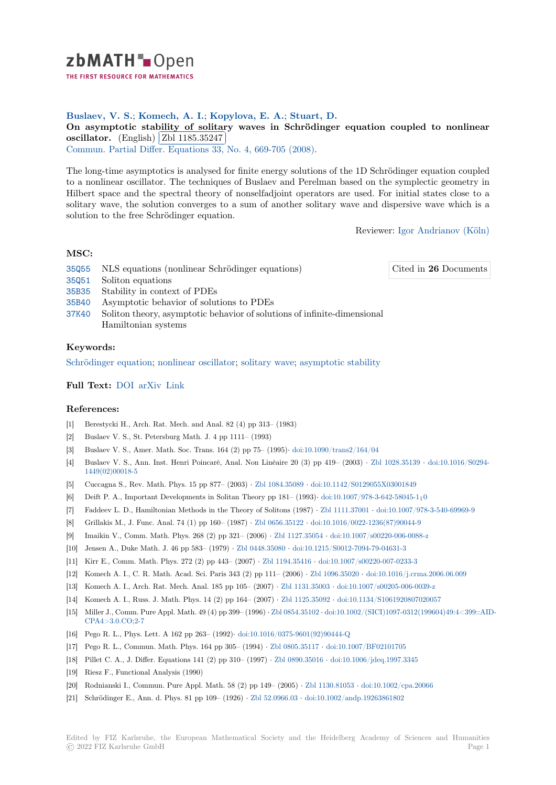

THE FIRST RESOURCE FOR MATHEMATICS

## **Buslaev, V. S.**; **Komech, A. I.**; **Kopylova, E. A.**; **Stuart, D.**

**[O](https://zbmath.org/)n asymptotic stability of solitary waves in Schrödinger equation coupled to nonlinear On asymptotic stability of solita**<br>**oscillator.** (English) **Zbl** 1185.35247

**Commun.** Partial Differ. Equations 33, No. 4, 669-705 (2008).

[The long-time asymptotics is analysed for finite energy solutions of the 1D Schrödinger equation coupled](https://zbmath.org/1185.35247) [to a nonline](https://zbmath.org/1185.35247)ar oscillat[or. The techniques](https://zbmath.org/1185.35247) of Buslaev and Perelman based on the symplectic geometry in [Hilbert space and the spectral theo](https://zbmath.org/journals/?q=se:1566)[ry of nonselfadjoint opera](https://zbmath.org/?q=in:227101)tors are used. For initial states close to a solitary wave, the solution converges to a sum of another solitary wave and dispersive wave which is a solution to the free Schrödinger equation.

Reviewer: Igor Andrianov (Köln)

Cited in **26** [Documents](https://zbmath.org/authors/?q=andrianov.igor-v)

# **MSC:**

- 35Q55 NLS equations (nonlinear Schrödinger equations)
- 35Q51 Soliton equations
- 35B35 Stability in context of PDEs
- 35B40 Asymptotic behavior of solutions to PDEs
- [37K40](https://zbmath.org/classification/?q=cc:35Q55) Soliton theory, asymptotic behavior of solutions of infinite-dimensional Hamiltonian systems

### **[Keyw](https://zbmath.org/classification/?q=cc:35B40)ords:**

[Schröd](https://zbmath.org/classification/?q=cc:37K40)inger equation; nonlinear oscillator; solitary wave; asymptotic stability

#### **Full Text:** DOI arXiv Link

#### **[References:](https://zbmath.org/?q=ut:Schr%C3%B6dinger+equation)**

- [1] Berestycki H., Arch. Rat. Mech. and Anal. 82 (4) pp 313– (1983)
- [2] Buslaev [V. S.,](https://dx.doi.org/10.1080/03605300801970937)[S](https://dx.doi.org/10.1080/03605300801970937)[t. Peter](https://arxiv.org/abs/math-ph/0702013)s[burg M](http://citeseerx.ist.psu.edu/viewdoc/summary?doi=10.1.1.581.9406)ath. J. 4 pp 1111– (1993)
- [3] Buslaev V. S., Amer. Math. Soc. Trans. 164 (2) pp 75– (1995)*·* doi:10.1090/trans2/164/04
- [4] Buslaev V. S., Ann. Inst. Henri Poincaré, Anal. Non Linéaire 20 (3) pp 419– (2003) *·* Zbl 1028.35139 *·* doi:10.1016/S0294- 1449(02)00018-5
- [5] Cuccagna S., Rev. Math. Phys. 15 pp 877– (2003) *·* Zbl 1084.35089 *·* doi:10.1142/S0129055X03001849
- [6] Deift P. A., Important Developments in Solitan Theory pp 181– (1993)*·* [doi:10.1007/978-3-](https://dx.doi.org/10.1090/trans2/164/04)642-58045-110
- [7] Faddeev L. D., Hamiltonian Methods in the Theory of Solitons (1987) *·* Zbl 1111.37001 *·* [doi:10.1007/9](https://zbmath.org/1028.35139)7[8-3-540-69969-9](https://dx.doi.org/10.1016/S0294-1449(02)00018-5)
- [8] [Grillakis M., J. F](https://dx.doi.org/10.1016/S0294-1449(02)00018-5)unc. Anal. 74 (1) pp 160– (1987) *·* Zbl 0656.35122 *·* doi:10.1016/0022-1236(87)90044-9
- [9] Imaikin V., Comm. Math. Phys. 268 (2) pp 321– (2006) *·* [Zbl 1127.](https://zbmath.org/1084.35089)35054 *·* [doi:10.1007/s00220-006-008](https://dx.doi.org/10.1142/S0129055X03001849)8-z
- [10] Jensen A., Duke Math. J. 46 pp 583– (1979) *·* Zbl 0448.35080 *·* doi:10.1[215/S0012-7094-79-04631-3](https://dx.doi.org/10.1007/978-3-642-58045-1_10)
- [11] Kirr E., Comm. Math. Phys. 272 (2) pp 443– (2007) *·* Zbl 1194.35416 *·* [doi:10.1007/s002](https://zbmath.org/1111.37001)[20-007-0233-3](https://dx.doi.org/10.1007/978-3-540-69969-9)
- [12] Komech A. I., C. R. Math. Acad. Sci. Paris 343 (2) [pp 111– \(2006\)](https://zbmath.org/0656.35122) *·* Zbl 1096.35020 *·* [doi:10.1016/j.crm](https://dx.doi.org/10.1016/0022-1236(87)90044-9)a.2006.06.009
- [13] Komech A. I., Arch. Rat. Mech. Anal. 185 pp 105– (2007) *·* [Zbl 1131.3500](https://zbmath.org/1127.35054)3 *·* [doi:10.1007/s00205-006-0039](https://dx.doi.org/10.1007/s00220-006-0088-z)-z
- [14] Komech A. I., Russ. J. Math. Phys. 14 (2) pp [164– \(2007\)](https://zbmath.org/0448.35080) *·* Zbl 1125.35092 *·* [doi:10.1134/S1061920](https://dx.doi.org/10.1215/S0012-7094-79-04631-3)807020057
- [15] Miller J., Comm. Pure Appl. Math. 49 (4) pp 399– (1996) *·* [Zbl 0854.3510](https://zbmath.org/1194.35416)2 *[·](https://zbmath.org/1096.35020)* [doi:10.1002/\(SICI\)1097-0312](https://dx.doi.org/10.1007/s00220-007-0233-3)[\(199604\)49:4<3](https://dx.doi.org/10.1016/j.crma.2006.06.009)99::AID-CPA4>3.0.CO;2-7
- [16] Pego R. L., Phys. Lett. A 162 pp 263– (1992)*·* doi:10.1016/[0375-9601\(92\)90](https://zbmath.org/1131.35003)4[44-Q](https://dx.doi.org/10.1007/s00205-006-0039-z)
- [17] Pego R. L., Commun. Math. Phys. 164 pp 305– (1994) *·* Zbl [0805.35117](https://zbmath.org/1125.35092) *·* doi[:10.1007/BF02101705](https://dx.doi.org/10.1134/S1061920807020057)
- [18] Pillet C. A., J. Differ. Equations 141 (2) pp 310– (1997) *·* [Zbl 0890.3501](https://zbmath.org/0854.35102)6 *·* [doi:10.1006/jdeq.1997.3345](https://dx.doi.org/10.1002/(SICI)1097-0312(199604)49:4<399::AID-CPA4>3.0.CO;2-7)
- [19] [Riesz F., Functiona](https://dx.doi.org/10.1002/(SICI)1097-0312(199604)49:4<399::AID-CPA4>3.0.CO;2-7)l Analysis (1990)
- [20] Rodnianski I., Commun. Pure Appl. Math. 58 [\(2\) pp 149– \(2005\)](https://dx.doi.org/10.1016/0375-9601(92)90444-Q) *·* Zbl 1130.81053 *·* doi:10.1002/cpa.20066
- [21] Schrödinger E., Ann. d. Phys. 81 pp 109– (1926) *·* Zbl 5[2.0966.03](https://zbmath.org/0805.35117) *[·](https://zbmath.org/0890.35016)* doi:10[.1002/andp.19263861802](https://dx.doi.org/10.1007/BF02101705)